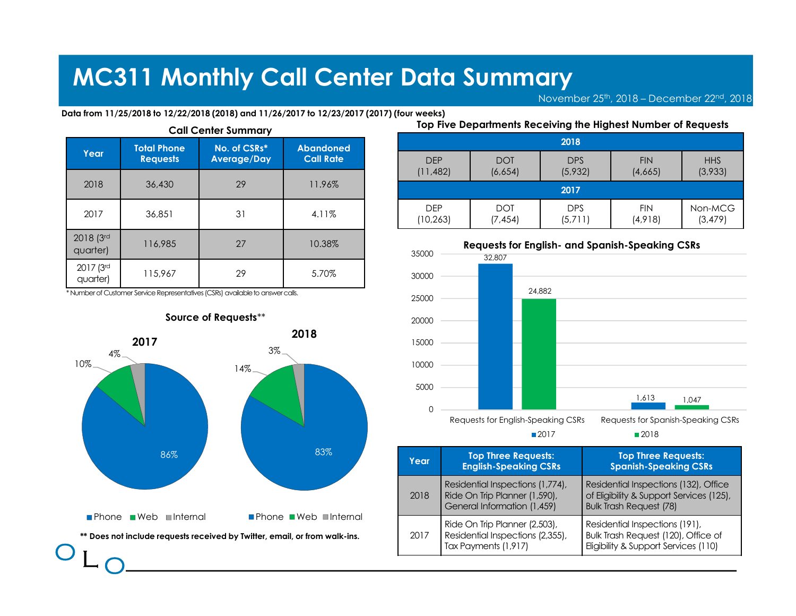|                       |                    |                                                                                | <b>MC311 Monthly Call Center Data Summary</b>                                              |                         |                                               |                       |     |
|-----------------------|--------------------|--------------------------------------------------------------------------------|--------------------------------------------------------------------------------------------|-------------------------|-----------------------------------------------|-----------------------|-----|
|                       |                    |                                                                                |                                                                                            |                         |                                               | November 25th, 2018   |     |
|                       |                    | <b>Call Center Summary</b>                                                     | Data from 11/25/2018 to 12/22/2018 (2018) and 11/26/2017 to 12/23/2017 (2017) (four weeks) |                         | Top Five Departments Receiving the Highest No |                       |     |
|                       |                    |                                                                                |                                                                                            |                         |                                               |                       |     |
| Year                  | <b>Total Phone</b> | No. of CSRs*                                                                   | <b>Abandoned</b>                                                                           |                         |                                               | 2018                  |     |
|                       | <b>Requests</b>    | <b>Average/Day</b>                                                             | <b>Call Rate</b>                                                                           | <b>DFP</b><br>(11, 482) | <b>DOT</b><br>(6,654)                         | <b>DPS</b><br>(5,932) | (4) |
| 2018                  | 36,430             | 29                                                                             | 11.96%                                                                                     |                         |                                               | 2017                  |     |
| 2017                  | 36,851             | 31                                                                             | 4.11%                                                                                      | <b>DEP</b><br>(10, 263) | <b>DOT</b><br>(7, 454)                        | <b>DPS</b><br>(5,711) | (4) |
| 2018 (3rd<br>quarter) | 116,985            | 27                                                                             | 10.38%                                                                                     | 35000                   | <b>Requests for English- and Spanish-Sp</b>   |                       |     |
| 2017 (3rd<br>quarter) | 115,967            | 29                                                                             | 5.70%                                                                                      | 30000                   | 32.807                                        |                       |     |
|                       |                    | * Number of Customer Service Representatives (CSRs) available to answer calls. |                                                                                            | 25000                   |                                               | 24,882                |     |



|                                        | Center Data Summary               |                                                               |                                                                     |                       |                     |
|----------------------------------------|-----------------------------------|---------------------------------------------------------------|---------------------------------------------------------------------|-----------------------|---------------------|
|                                        |                                   |                                                               |                                                                     |                       |                     |
|                                        | to 12/23/2017 (2017) (four weeks) |                                                               | November 25 <sup>th</sup> , 2018 - December 22 <sup>nd</sup> , 2018 |                       |                     |
|                                        |                                   | Top Five Departments Receiving the Highest Number of Requests |                                                                     |                       |                     |
|                                        | <b>DEP</b>                        | <b>DOT</b>                                                    | 2018<br><b>DPS</b>                                                  | <b>FIN</b>            | <b>HHS</b>          |
| bandoned<br><b>Call Rate</b><br>11.96% | (11,482)                          | (6,654)                                                       | (5,932)<br>2017                                                     | (4,665)               | (3,933)             |
|                                        | <b>DEP</b><br>(10, 263)           | <b>DOT</b><br>(7, 454)                                        | <b>DPS</b><br>(5,711)                                               | <b>FIN</b><br>(4,918) | Non-MCG<br>(3, 479) |
|                                        | 35000                             | <b>Requests for English- and Spanish-Speaking CSRs</b>        |                                                                     |                       |                     |
|                                        | 30000                             | 32,807                                                        |                                                                     |                       |                     |



| 83%                               | Year | <b>Top Three Requests:</b><br><b>English-Speaking CSRs</b>                                       | <b>Top Three Requests:</b><br><b>Spanish-Speaking CSRs</b>                                                          |
|-----------------------------------|------|--------------------------------------------------------------------------------------------------|---------------------------------------------------------------------------------------------------------------------|
|                                   | 2018 | Residential Inspections (1,774),<br>Ride On Trip Planner (1,590),<br>General Information (1,459) | Residential Inspections (132), Office<br>of Eligibility & Support Services (125),<br><b>Bulk Trash Request (78)</b> |
| ) <b>∎Internal</b><br>m walk-ins. | 2017 | Ride On Trip Planner (2,503),<br>Residential Inspections (2,355),<br>Tax Payments (1,917)        | Residential Inspections (191),<br>Bulk Trash Request (120), Office of<br>Eligibility & Support Services (110)       |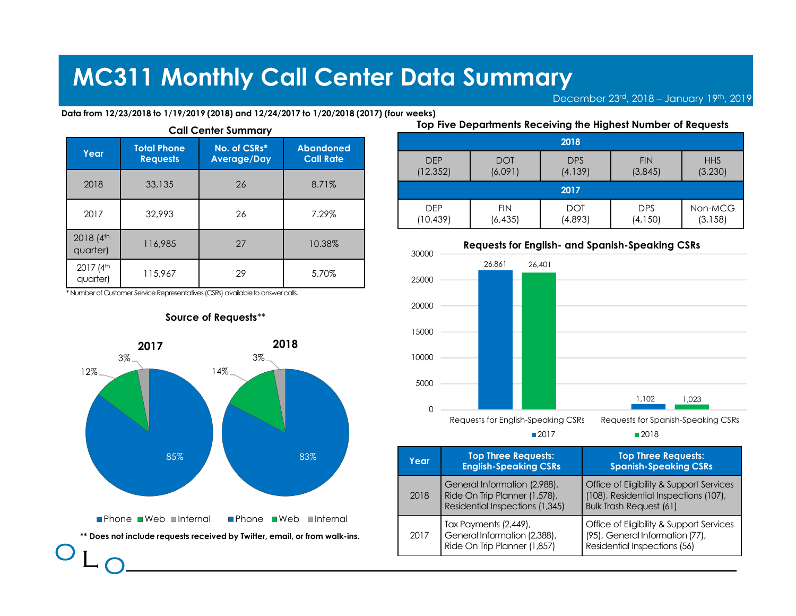|                                   |                                       |                                                                                | <b>MC311 Monthly Call Center Data Summary</b>                                            |                         |                        |                                               |            |
|-----------------------------------|---------------------------------------|--------------------------------------------------------------------------------|------------------------------------------------------------------------------------------|-------------------------|------------------------|-----------------------------------------------|------------|
|                                   |                                       |                                                                                |                                                                                          |                         |                        | December 23rd, 20                             |            |
|                                   |                                       | <b>Call Center Summary</b>                                                     | Data from 12/23/2018 to 1/19/2019 (2018) and 12/24/2017 to 1/20/2018 (2017) (four weeks) |                         |                        | Top Five Departments Receiving the Highest No |            |
| Year                              | <b>Total Phone</b><br><b>Requests</b> | No. of CSRs*<br><b>Average/Day</b>                                             | <b>Abandoned</b><br><b>Call Rate</b>                                                     |                         |                        | 2018                                          |            |
|                                   |                                       |                                                                                |                                                                                          | <b>DFP</b><br>(12, 352) | <b>DOT</b><br>(6,091)  | <b>DPS</b><br>(4, 139)                        | $\sqrt{3}$ |
| 2018                              | 33,135                                | 26                                                                             | 8.71%                                                                                    |                         |                        | 2017                                          |            |
| 2017                              | 32,993                                | 26                                                                             | 7.29%                                                                                    | <b>DEP</b><br>(10, 439) | <b>FIN</b><br>(6, 435) | <b>DOT</b><br>(4,893)                         | (4)        |
|                                   |                                       |                                                                                |                                                                                          |                         |                        |                                               |            |
| 2018 (4 <sup>th</sup><br>quarter) | 116,985                               | 27                                                                             | 10.38%                                                                                   | 30000                   |                        | <b>Requests for English- and Spanish-Sp</b>   |            |
| 2017 (4 <sup>th</sup><br>quarter) | 115,967                               | 29                                                                             | 5.70%                                                                                    | 25000                   | 26,861                 | 26,401                                        |            |
|                                   |                                       | * Number of Customer Service Representatives (CSRs) available to answer calls. |                                                                                          |                         |                        |                                               |            |
|                                   |                                       | Source of Requests**                                                           |                                                                                          | 20000                   |                        |                                               |            |



### Source of Requests\*\*

|                                                                   | <b>Center Data Summary</b>      |                        |                                                               |                                          |                        |
|-------------------------------------------------------------------|---------------------------------|------------------------|---------------------------------------------------------------|------------------------------------------|------------------------|
|                                                                   | o 1/20/2018 (2017) (four weeks) |                        |                                                               | December 23rd, 2018 - January 19th, 2019 |                        |
|                                                                   |                                 |                        | Top Five Departments Receiving the Highest Number of Requests |                                          |                        |
|                                                                   |                                 |                        | 2018                                                          |                                          |                        |
|                                                                   |                                 |                        |                                                               |                                          |                        |
|                                                                   | <b>DEP</b><br>(12, 352)         | <b>DOT</b><br>(6,091)  | <b>DPS</b><br>(4, 139)                                        | <b>FIN</b><br>(3,845)                    | <b>HHS</b><br>(3, 230) |
|                                                                   |                                 |                        | 2017                                                          |                                          |                        |
|                                                                   | <b>DEP</b><br>(10, 439)         | <b>FIN</b><br>(6, 435) | <b>DOT</b><br>(4,893)                                         | <b>DPS</b><br>(4, 150)                   | Non-MCG<br>(3, 158)    |
|                                                                   |                                 |                        | <b>Requests for English- and Spanish-Speaking CSRs</b>        |                                          |                        |
|                                                                   | 30000                           | 26,861                 | 26,401                                                        |                                          |                        |
| bandoned<br><b>Call Rate</b><br>8.71%<br>7.29%<br>10.38%<br>5.70% | 25000                           |                        |                                                               |                                          |                        |



| 83%                                         | Year | <b>Top Three Requests:</b><br><b>English-Speaking CSRs</b>                                       | <b>Top Three Requests:</b><br><b>Spanish-Speaking CSRs</b>                                                          |
|---------------------------------------------|------|--------------------------------------------------------------------------------------------------|---------------------------------------------------------------------------------------------------------------------|
|                                             | 2018 | General Information (2,988),<br>Ride On Trip Planner (1,578),<br>Residential Inspections (1,345) | Office of Eligibility & Support Services<br>(108), Residential Inspections (107),<br><b>Bulk Trash Request (61)</b> |
| $\blacksquare$ Internal<br>r from walk-ins. | 2017 | Tax Payments (2,449),<br>General Information (2,388),<br>Ride On Trip Planner (1,857)            | Office of Eligibility & Support Services<br>(95), General Information (77),<br>Residential Inspections (56)         |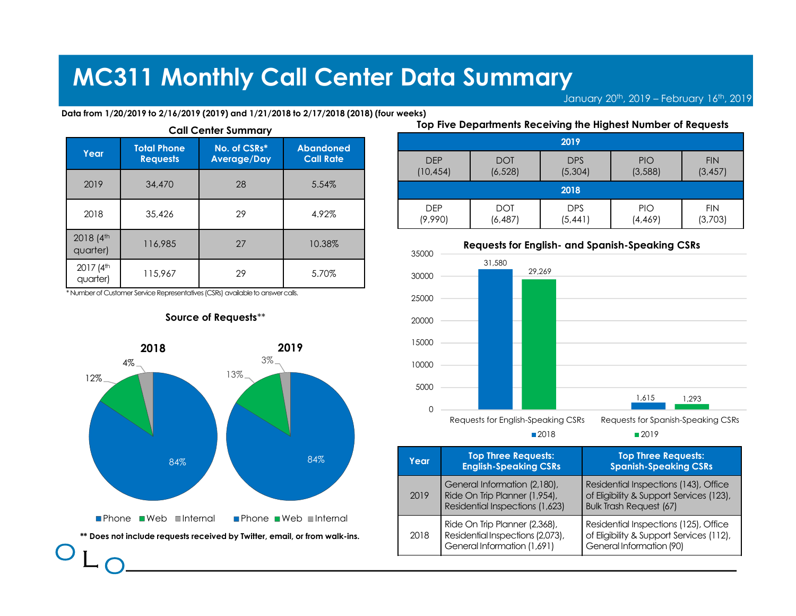|                                   |                    |                                                                                |                                                                                        | <b>MC311 Monthly Call Center Data Summary</b> |                                               |                        |            |
|-----------------------------------|--------------------|--------------------------------------------------------------------------------|----------------------------------------------------------------------------------------|-----------------------------------------------|-----------------------------------------------|------------------------|------------|
|                                   |                    |                                                                                |                                                                                        |                                               |                                               | January 20th, 20       |            |
|                                   |                    | <b>Call Center Summary</b>                                                     | Data from 1/20/2019 to 2/16/2019 (2019) and 1/21/2018 to 2/17/2018 (2018) (four weeks) |                                               | Top Five Departments Receiving the Highest No |                        |            |
|                                   |                    |                                                                                |                                                                                        |                                               |                                               |                        |            |
|                                   | <b>Total Phone</b> | No. of CSRs*                                                                   | <b>Abandoned</b>                                                                       |                                               |                                               | 2019                   |            |
| Year                              | <b>Requests</b>    | <b>Average/Day</b>                                                             | <b>Call Rate</b>                                                                       | <b>DEP</b><br>(10, 454)                       | <b>DOT</b><br>(6, 528)                        | <b>DPS</b><br>(5,304)  | $\sqrt{3}$ |
| 2019                              | 34,470             | 28                                                                             | 5.54%                                                                                  |                                               |                                               | 2018                   |            |
| 2018                              | 35,426             | 29                                                                             | 4.92%                                                                                  | <b>DEP</b><br>(9,990)                         | <b>DOT</b><br>(6, 487)                        | <b>DPS</b><br>(5, 441) | (4)        |
| 2018 (4th<br>quarter)             | 116,985            | 27                                                                             | 10.38%                                                                                 | 35000                                         | <b>Requests for English- and Spanish-Sp</b>   |                        |            |
| 2017 (4 <sup>th</sup><br>quarter) | 115,967            | 29                                                                             | 5.70%                                                                                  | 30000                                         | 31,580                                        | 29,269                 |            |
|                                   |                    | * Number of Customer Service Representatives (CSRs) available to answer calls. |                                                                                        | 25000                                         |                                               |                        |            |



|                                                                   | <b>Center Data Summary</b>    |                        |                                                               | January 20 <sup>th</sup> , 2019 - February 16 <sup>th</sup> , 2019 |                        |
|-------------------------------------------------------------------|-------------------------------|------------------------|---------------------------------------------------------------|--------------------------------------------------------------------|------------------------|
|                                                                   | 2/17/2018 (2018) (four weeks) |                        | Top Five Departments Receiving the Highest Number of Requests |                                                                    |                        |
|                                                                   |                               |                        |                                                               |                                                                    |                        |
|                                                                   |                               |                        | 2019                                                          |                                                                    |                        |
|                                                                   | <b>DEP</b><br>(10, 454)       | <b>DOT</b><br>(6, 528) | <b>DPS</b><br>(5,304)                                         | PIO<br>(3,588)                                                     | <b>FIN</b><br>(3, 457) |
|                                                                   |                               |                        | 2018                                                          |                                                                    |                        |
|                                                                   | <b>DEP</b><br>(9,990)         | <b>DOT</b><br>(6, 487) | <b>DPS</b><br>(5, 441)                                        | PIO<br>(4, 469)                                                    | <b>FIN</b><br>(3,703)  |
|                                                                   |                               |                        | <b>Requests for English- and Spanish-Speaking CSRs</b>        |                                                                    |                        |
|                                                                   | 35000                         | 31,580                 | 29,269                                                        |                                                                    |                        |
| bandoned<br><b>Call Rate</b><br>5.54%<br>4.92%<br>10.38%<br>5.70% | 30000<br>25000                |                        |                                                               |                                                                    |                        |



| 84%                                      | Year. | <b>Top Three Requests:</b><br><b>English-Speaking CSRs</b>                                       | <b>Top Three Requests:</b><br><b>Spanish-Speaking CSRs</b>                                                          |
|------------------------------------------|-------|--------------------------------------------------------------------------------------------------|---------------------------------------------------------------------------------------------------------------------|
|                                          | 2019  | General Information (2,180),<br>Ride On Trip Planner (1,954),<br>Residential Inspections (1,623) | Residential Inspections (143), Office<br>of Eligibility & Support Services (123),<br><b>Bulk Trash Request (67)</b> |
| $\blacksquare$ Internal<br>rom walk-ins. | 2018  | Ride On Trip Planner (2,368),<br>Residential Inspections (2,073),<br>General Information (1,691) | Residential Inspections (125), Office<br>of Eligibility & Support Services (112),<br>General Information (90)       |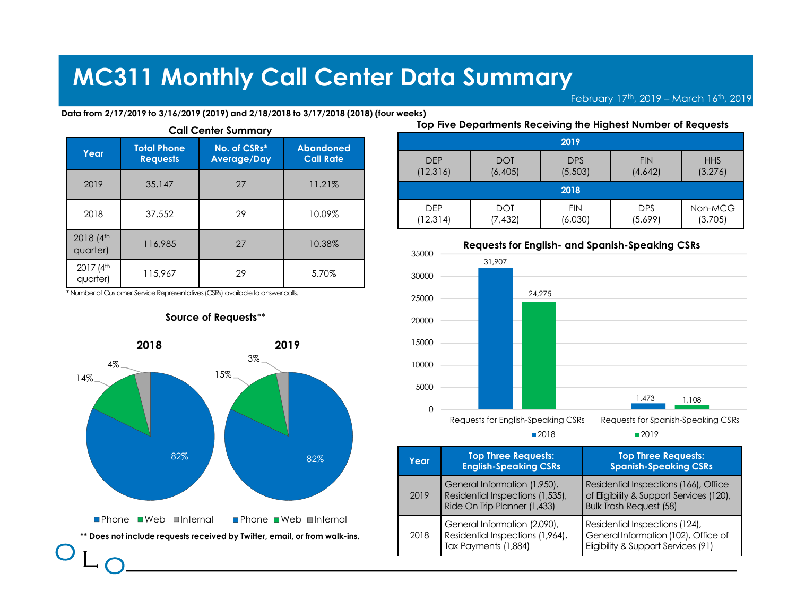#### Data from 2/17/2019 to 3/16/2019 (2019) and 2/18/2018 to 3/17/2018 (2018) (four weeks)

|                                   |                    |                                                                                |                                                                                        | <b>MC311 Monthly Call Center Data Summary</b> |                                               |                       |     |
|-----------------------------------|--------------------|--------------------------------------------------------------------------------|----------------------------------------------------------------------------------------|-----------------------------------------------|-----------------------------------------------|-----------------------|-----|
|                                   |                    |                                                                                |                                                                                        |                                               |                                               | February 17th,        |     |
|                                   |                    | <b>Call Center Summary</b>                                                     | Data from 2/17/2019 to 3/16/2019 (2019) and 2/18/2018 to 3/17/2018 (2018) (four weeks) |                                               | Top Five Departments Receiving the Highest No |                       |     |
|                                   |                    |                                                                                |                                                                                        |                                               |                                               |                       |     |
| Year                              | <b>Total Phone</b> | No. of CSRs*                                                                   | <b>Abandoned</b>                                                                       |                                               |                                               | 2019                  |     |
|                                   | <b>Requests</b>    | <b>Average/Day</b>                                                             | <b>Call Rate</b>                                                                       | <b>DEP</b><br>(12, 316)                       | <b>DOT</b><br>(6, 405)                        | <b>DPS</b><br>(5,503) | (4) |
| 2019                              | 35,147             | 27                                                                             | 11.21%                                                                                 |                                               |                                               | 2018                  |     |
| 2018                              | 37,552             | 29                                                                             | 10.09%                                                                                 | <b>DEP</b><br>(12, 314)                       | <b>DOT</b><br>(7, 432)                        | <b>FIN</b><br>(6,030) | (5) |
| 2018 (4th<br>quarter)             | 116,985            | 27                                                                             | 10.38%                                                                                 | 35000                                         | <b>Requests for English- and Spanish-Sp</b>   |                       |     |
| 2017 (4 <sup>th</sup><br>quarter) | 115,967            | 29                                                                             | 5.70%                                                                                  | 30000                                         | 31,907                                        |                       |     |
|                                   |                    | * Number of Customer Service Representatives (CSRs) available to answer calls. |                                                                                        | 25000                                         | 24,275                                        |                       |     |



|          | <b>Center Data Summary</b>    |                        |                                                                       |                                        |                    |
|----------|-------------------------------|------------------------|-----------------------------------------------------------------------|----------------------------------------|--------------------|
|          |                               |                        |                                                                       | February 17th, 2019 - March 16th, 2019 |                    |
|          | 3/17/2018 (2018) (four weeks) |                        |                                                                       |                                        |                    |
|          |                               |                        | Top Five Departments Receiving the Highest Number of Requests<br>2019 |                                        |                    |
|          |                               |                        |                                                                       |                                        |                    |
|          | <b>DEP</b>                    | <b>DOT</b>             | <b>DPS</b>                                                            | <b>FIN</b>                             | <b>HHS</b>         |
|          | (12, 316)                     | (6, 405)               | (5,503)<br>2018                                                       | (4,642)                                | (3, 276)           |
|          | <b>DEP</b><br>(12, 314)       | <b>DOT</b><br>(7, 432) | <b>FIN</b><br>(6,030)                                                 | <b>DPS</b><br>(5,699)                  | Non-MCG<br>(3,705) |
|          |                               |                        | <b>Requests for English- and Spanish-Speaking CSRs</b>                |                                        |                    |
|          | 35000                         | 31,907                 |                                                                       |                                        |                    |
| bandoned | 30000<br>25000                |                        | 24,275                                                                |                                        |                    |



2018 2019

| 82%                                      | Year. | <b>Top Three Requests:</b><br><b>English-Speaking CSRs</b>                                       | <b>Top Three Requests:</b><br><b>Spanish-Speaking CSRs</b>                                                          |
|------------------------------------------|-------|--------------------------------------------------------------------------------------------------|---------------------------------------------------------------------------------------------------------------------|
|                                          | 2019  | General Information (1,950),<br>Residential Inspections (1,535),<br>Ride On Trip Planner (1,433) | Residential Inspections (166), Office<br>of Eligibility & Support Services (120),<br><b>Bulk Trash Request (58)</b> |
| $\blacksquare$ Internal<br>rom walk-ins. | 2018  | General Information (2,090),<br>Residential Inspections (1,964),<br>Tax Payments (1,884)         | Residential Inspections (124),<br>General Information (102), Office of<br>Eligibility & Support Services (91)       |

### Source of Requests\*\*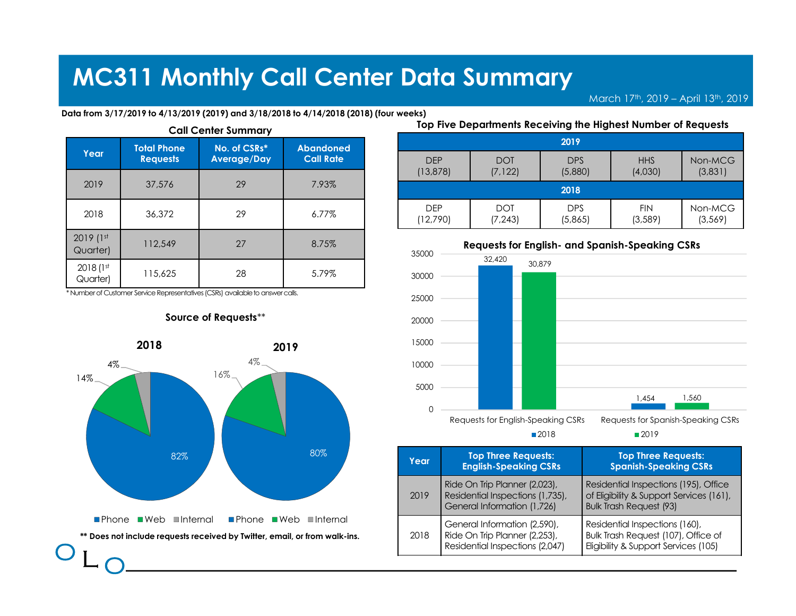#### Data from 3/17/2019 to 4/13/2019 (2019) and 3/18/2018 to 4/14/2018 (2018) (four weeks)

|                       |                                       |                                                                                | <b>MC311 Monthly Call Center Data Summary</b>                                          |                         |                                               |                       |            |
|-----------------------|---------------------------------------|--------------------------------------------------------------------------------|----------------------------------------------------------------------------------------|-------------------------|-----------------------------------------------|-----------------------|------------|
|                       |                                       |                                                                                |                                                                                        |                         |                                               |                       | March 17th |
|                       |                                       | <b>Call Center Summary</b>                                                     | Data from 3/17/2019 to 4/13/2019 (2019) and 3/18/2018 to 4/14/2018 (2018) (four weeks) |                         | Top Five Departments Receiving the Highest No |                       |            |
| Year                  | <b>Total Phone</b><br><b>Requests</b> | No. of CSRs*<br><b>Average/Day</b>                                             | <b>Abandoned</b><br><b>Call Rate</b>                                                   |                         |                                               | 2019                  |            |
|                       |                                       |                                                                                |                                                                                        |                         |                                               |                       |            |
|                       |                                       |                                                                                |                                                                                        | <b>DEP</b><br>(13, 878) | <b>DOT</b><br>(7, 122)                        | <b>DPS</b><br>(5,880) | (4)        |
| 2019                  | 37,576                                | 29                                                                             | 7.93%                                                                                  |                         | <b>DOT</b>                                    | 2018                  |            |
| 2018                  | 36,372                                | 29                                                                             | 6.77%                                                                                  | <b>DEP</b><br>(12,790)  | (7, 243)                                      | <b>DPS</b><br>(5,865) | (3)        |
| 2019 (1st<br>Quarter) | 112,549                               | 27                                                                             | 8.75%                                                                                  | 35000                   | <b>Requests for English- and Spanish-Sp</b>   |                       |            |
| 2018 (1st<br>Quarter) | 115,625                               | 28                                                                             | 5.79%                                                                                  | 30000                   | 32,420                                        | 30,879                |            |
|                       |                                       | * Number of Customer Service Representatives (CSRs) available to answer calls. |                                                                                        | 25000                   |                                               |                       |            |
|                       |                                       | Source of Requests**                                                           |                                                                                        | 20000                   |                                               |                       |            |





| 80%                       | Year | <b>Top Three Requests:</b><br><b>English-Speaking CSRs</b>                                       | <b>Top Three Requests:</b><br><b>Spanish-Speaking CSRs</b>                                                          |
|---------------------------|------|--------------------------------------------------------------------------------------------------|---------------------------------------------------------------------------------------------------------------------|
|                           | 2019 | Ride On Trip Planner (2,023),<br>Residential Inspections (1,735),<br>General Information (1,726) | Residential Inspections (195), Office<br>of Eligibility & Support Services (161),<br><b>Bulk Trash Request (93)</b> |
| ∎Internal<br>om walk-ins. | 2018 | General Information (2,590),<br>Ride On Trip Planner (2,253),<br>Residential Inspections (2,047) | Residential Inspections (160),<br>Bulk Trash Request (107), Office of<br>Eligibility & Support Services (105)       |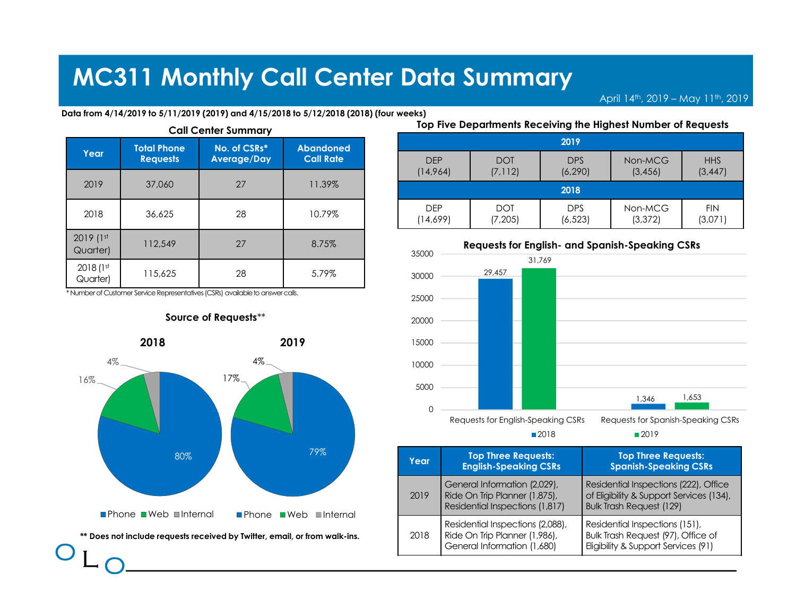#### Data from 4/14/2019 to 5/11/2019 (2019) and 4/15/2018 to 5/12/2018 (2018) (four weeks)

|                       |                    |                                                                                | <b>MC311 Monthly Call Center Data Summary</b>                                          |                        |                                               |                        | April 14th        |
|-----------------------|--------------------|--------------------------------------------------------------------------------|----------------------------------------------------------------------------------------|------------------------|-----------------------------------------------|------------------------|-------------------|
|                       |                    |                                                                                | Data from 4/14/2019 to 5/11/2019 (2019) and 4/15/2018 to 5/12/2018 (2018) (four weeks) |                        |                                               |                        |                   |
|                       |                    |                                                                                |                                                                                        |                        | Top Five Departments Receiving the Highest No |                        |                   |
|                       | <b>Total Phone</b> | <b>Call Center Summary</b><br>No. of CSRs*                                     | <b>Abandoned</b>                                                                       |                        |                                               | 2019                   |                   |
| Year                  | <b>Requests</b>    | <b>Average/Day</b>                                                             | <b>Call Rate</b>                                                                       | <b>DEP</b><br>(14,964) | <b>DOT</b><br>(7, 112)                        | <b>DPS</b><br>(6, 290) | Nor<br>$\sqrt{3}$ |
| 2019                  | 37,060             | 27                                                                             | 11.39%                                                                                 |                        |                                               | 2018                   |                   |
| 2018                  | 36,625             | 28                                                                             | 10.79%                                                                                 | <b>DEP</b><br>(14,699) | <b>DOT</b><br>(7, 205)                        | <b>DPS</b><br>(6, 523) | Nor<br>(3)        |
| 2019 (1st<br>Quarter) | 112,549            | 27                                                                             | 8.75%                                                                                  | 35000                  | <b>Requests for English- and Spanish-Sp</b>   |                        |                   |
| 2018 (1st<br>Quarter) | 115,625            | 28                                                                             | 5.79%                                                                                  | 30000                  | 29,457                                        | 31,769                 |                   |
|                       |                    | * Number of Customer Service Representatives (CSRs) available to answer calls. |                                                                                        | 25000                  |                                               |                        |                   |



|                                                                                                     | <b>Center Data Summary</b> |                        |                        |                                                               |                        |
|-----------------------------------------------------------------------------------------------------|----------------------------|------------------------|------------------------|---------------------------------------------------------------|------------------------|
|                                                                                                     |                            |                        |                        | April 14th, 2019 - May 11th, 2019                             |                        |
|                                                                                                     |                            |                        |                        | Top Five Departments Receiving the Highest Number of Requests |                        |
|                                                                                                     |                            |                        | 2019                   |                                                               |                        |
|                                                                                                     | <b>DEP</b><br>(14,964)     | <b>DOT</b><br>(7, 112) | <b>DPS</b><br>(6, 290) | Non-MCG<br>(3, 456)                                           | <b>HHS</b><br>(3, 447) |
|                                                                                                     |                            |                        | 2018                   |                                                               |                        |
|                                                                                                     | <b>DEP</b><br>(14,699)     | <b>DOT</b><br>(7, 205) | <b>DPS</b><br>(6, 523) | Non-MCG<br>(3, 372)                                           | <b>FIN</b><br>(3,071)  |
|                                                                                                     |                            |                        |                        | <b>Requests for English- and Spanish-Speaking CSRs</b>        |                        |
|                                                                                                     | 35000                      |                        | 31,769                 |                                                               |                        |
| 5/12/2018 (2018) (four weeks)<br>bandoned<br><b>Call Rate</b><br>11.39%<br>10.79%<br>8.75%<br>5.79% | 30000<br>25000             | 29,457                 |                        |                                                               |                        |



| 79%                     | Year | <b>Top Three Requests:</b><br><b>English-Speaking CSRs</b>                                       | <b>Top Three Requests:</b><br><b>Spanish-Speaking CSRs</b>                                                           |
|-------------------------|------|--------------------------------------------------------------------------------------------------|----------------------------------------------------------------------------------------------------------------------|
| $\blacksquare$ Internal | 2019 | General Information (2,029),<br>Ride On Trip Planner (1,875),<br>Residential Inspections (1,817) | Residential Inspections (222), Office<br>of Eligibility & Support Services (134),<br><b>Bulk Trash Request (129)</b> |
| rom walk-ins.           | 2018 | Residential Inspections (2,088),<br>Ride On Trip Planner (1,986),<br>General Information (1,680) | Residential Inspections (151),<br>Bulk Trash Request (97), Office of<br>Eligibility & Support Services (91)          |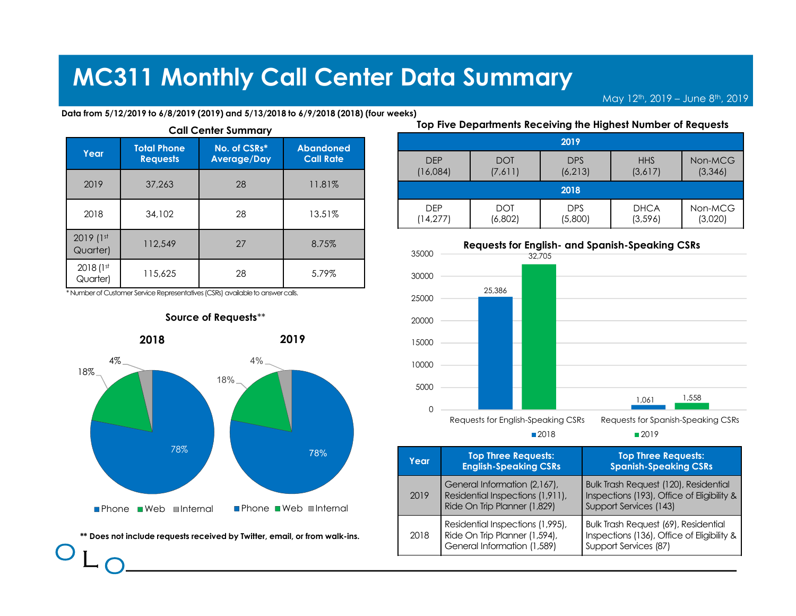|                       |                                       |                                                                                | <b>MC311 Monthly Call Center Data Summary</b>                                        |                         |                                               |                               | $\overline{M}$ ay 12 <sup>t</sup> |
|-----------------------|---------------------------------------|--------------------------------------------------------------------------------|--------------------------------------------------------------------------------------|-------------------------|-----------------------------------------------|-------------------------------|-----------------------------------|
|                       |                                       | <b>Call Center Summary</b>                                                     | Data from 5/12/2019 to 6/8/2019 (2019) and 5/13/2018 to 6/9/2018 (2018) (four weeks) |                         | Top Five Departments Receiving the Highest No |                               |                                   |
| Year                  | <b>Total Phone</b><br><b>Requests</b> | No. of CSRs*<br><b>Average/Day</b>                                             | <b>Abandoned</b><br><b>Call Rate</b>                                                 | <b>DFP</b>              | <b>DOT</b>                                    | 2019                          |                                   |
|                       |                                       |                                                                                |                                                                                      |                         |                                               | <b>DPS</b>                    |                                   |
| 2019                  | 37,263                                | 28                                                                             | 11.81%                                                                               | (16,084)                | (7,611)                                       | (6, 213)                      | $\sqrt{3}$                        |
| 2018                  | 34,102                                | 28                                                                             | 13.51%                                                                               | <b>DEP</b><br>(14, 277) | <b>DOT</b><br>(6,802)                         | 2018<br><b>DPS</b><br>(5,800) | D<br>(3)                          |
| 2019 (1st<br>Quarter) | 112,549                               | 27                                                                             | 8.75%                                                                                | 35000                   | <b>Requests for English- and Spanish-Sp</b>   | 32.705                        |                                   |
| 2018 (1st<br>Quarter) | 115,625                               | 28                                                                             | 5.79%                                                                                | 30000                   |                                               |                               |                                   |
|                       |                                       | * Number of Customer Service Representatives (CSRs) available to answer calls. |                                                                                      | 25000                   | 25,386                                        |                               |                                   |
|                       | $\bullet\bullet\bullet\bullet$        | Source of Requests**                                                           |                                                                                      | 20000                   |                                               |                               |                                   |



<sup>O</sup> <sup>L</sup> <sup>O</sup> \*\* Does not include requests received by Twitter, email, or from walk-ins.

|                             | <b>Center Data Summary</b> |                       |                                                                       |                                                           |                     |
|-----------------------------|----------------------------|-----------------------|-----------------------------------------------------------------------|-----------------------------------------------------------|---------------------|
|                             |                            |                       |                                                                       | May 12 <sup>th</sup> , 2019 - June 8 <sup>th</sup> , 2019 |                     |
|                             |                            |                       |                                                                       |                                                           |                     |
|                             |                            |                       |                                                                       |                                                           |                     |
| /9/2018 (2018) (four weeks) |                            |                       | Top Five Departments Receiving the Highest Number of Requests<br>2019 |                                                           |                     |
|                             | <b>DEP</b><br>(16,084)     | <b>DOT</b><br>(7,611) | <b>DPS</b><br>(6, 213)                                                | <b>HHS</b><br>(3,617)                                     | Non-MCG<br>(3, 346) |
|                             |                            |                       | 2018                                                                  |                                                           |                     |
|                             | <b>DEP</b><br>(14, 277)    | <b>DOT</b><br>(6,802) | <b>DPS</b><br>(5,800)                                                 | $DHCA$<br>(3, 596)                                        | Non-MCG<br>(3,020)  |
|                             | 35000                      |                       | <b>Requests for English- and Spanish-Speaking CSRs</b>                |                                                           |                     |
|                             | 30000                      |                       | 32,705                                                                |                                                           |                     |



| 78%           | Year | <b>Top Three Requests:</b><br><b>English-Speaking CSRs</b>                                       | <b>Top Three Requests:</b><br><b>Spanish-Speaking CSRs</b>                                                           |
|---------------|------|--------------------------------------------------------------------------------------------------|----------------------------------------------------------------------------------------------------------------------|
| ∎Internal     | 2019 | General Information (2,167),<br>Residential Inspections (1,911),<br>Ride On Trip Planner (1,829) | <b>Bulk Trash Request (120), Residential</b><br>Inspections (193), Office of Eligibility &<br>Support Services (143) |
| rom walk-ins. | 2018 | Residential Inspections (1,995),<br>Ride On Trip Planner (1,594),<br>General Information (1,589) | Bulk Trash Request (69), Residential<br>Inspections (136), Office of Eligibility &<br>Support Services (87)          |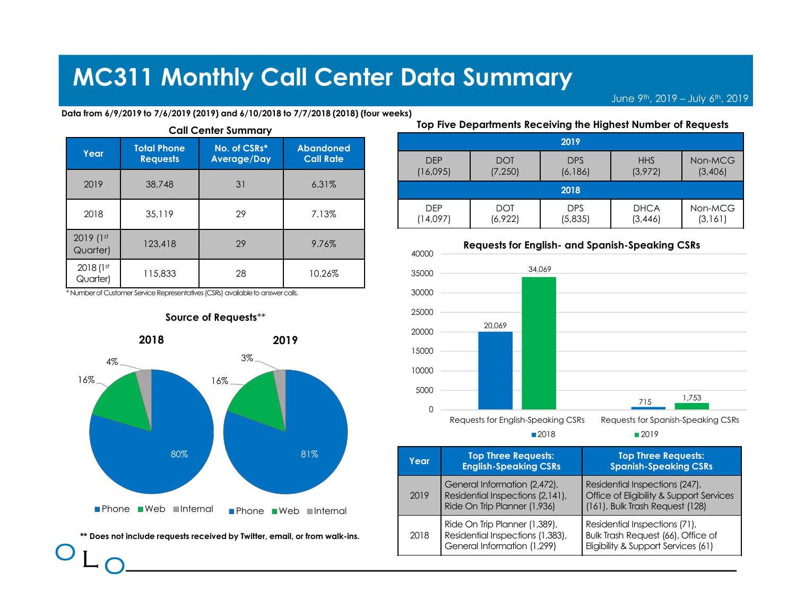|                       |                                       |                                                                                | <b>MC311 Monthly Call Center Data Summary</b>                                       |                        |                                               |                                | June 9     |
|-----------------------|---------------------------------------|--------------------------------------------------------------------------------|-------------------------------------------------------------------------------------|------------------------|-----------------------------------------------|--------------------------------|------------|
|                       |                                       | <b>Call Center Summary</b>                                                     | Data from 6/9/2019 to 7/6/2019 (2019) and 6/10/2018 to 7/7/2018 (2018) (four weeks) |                        | Top Five Departments Receiving the Highest No |                                |            |
| Year                  | <b>Total Phone</b><br><b>Requests</b> | No. of CSRs*<br><b>Average/Day</b>                                             | <b>Abandoned</b><br><b>Call Rate</b>                                                | <b>DFP</b><br>(16,095) | <b>DOT</b><br>(7, 250)                        | 2019<br><b>DPS</b><br>(6, 186) | $\sqrt{3}$ |
| 2019                  | 38,748                                | 31                                                                             | 6.31%                                                                               |                        |                                               | 2018                           |            |
| 2018                  | 35,119                                | 29                                                                             | 7.13%                                                                               | <b>DEP</b><br>(14,097) | <b>DOT</b><br>(6,922)                         | <b>DPS</b><br>(5,835)          | D<br>(3)   |
|                       |                                       |                                                                                | 9.76%                                                                               | 40000                  | <b>Requests for English- and Spanish-Sp</b>   |                                |            |
| 2019 (1st<br>Quarter) | 123,418                               | 29                                                                             |                                                                                     |                        |                                               |                                |            |
| 2018 (1st<br>Quarter) | 115,833                               | 28                                                                             | 10.26%                                                                              | 35000                  |                                               | 34,069                         |            |
|                       |                                       | * Number of Customer Service Representatives (CSRs) available to answer calls. |                                                                                     | 30000                  |                                               |                                |            |
|                       |                                       | Source of Requests**                                                           |                                                                                     | 25000<br>20000         | 20,069                                        |                                |            |



### Source of Requests\*\*

| <b>Center Data Summary</b> |                        |                                                               |                                                           |                     |
|----------------------------|------------------------|---------------------------------------------------------------|-----------------------------------------------------------|---------------------|
|                            |                        |                                                               | June 9 <sup>th</sup> , 2019 - July 6 <sup>th</sup> , 2019 |                     |
| 7/2018 (2018) (four weeks) |                        | Top Five Departments Receiving the Highest Number of Requests |                                                           |                     |
|                            |                        | 2019                                                          |                                                           |                     |
|                            |                        |                                                               |                                                           |                     |
| <b>DEP</b><br>(16,095)     | <b>DOT</b><br>(7, 250) | <b>DPS</b><br>(6, 186)                                        | <b>HHS</b><br>(3,972)                                     | Non-MCG<br>(3,406)  |
|                            |                        | 2018                                                          |                                                           |                     |
| <b>DEP</b><br>(14,097)     | <b>DOT</b><br>(6,922)  | <b>DPS</b><br>(5,835)                                         | <b>DHCA</b><br>(3,446)                                    | Non-MCG<br>(3, 161) |
| 40000                      |                        | <b>Requests for English- and Spanish-Speaking CSRs</b>        |                                                           |                     |
| 35000                      |                        | 34,069                                                        |                                                           |                     |



| $81\%$                  | Year | <b>Top Three Requests:</b><br><b>English-Speaking CSRs</b>                                       | <b>Top Three Requests:</b><br><b>Spanish-Speaking CSRs</b>                                                    |
|-------------------------|------|--------------------------------------------------------------------------------------------------|---------------------------------------------------------------------------------------------------------------|
| $\blacksquare$ Internal | 2019 | General Information (2,472),<br>Residential Inspections (2,141),<br>Ride On Trip Planner (1,936) | Residential Inspections (247),<br>Office of Eligibility & Support Services<br>(161), Bulk Trash Request (128) |
| r from walk-ins.        | 2018 | Ride On Trip Planner (1,389),<br>Residential Inspections (1,383),<br>General Information (1,299) | Residential Inspections (71),<br>Bulk Trash Request (66), Office of<br>Eligibility & Support Services (61)    |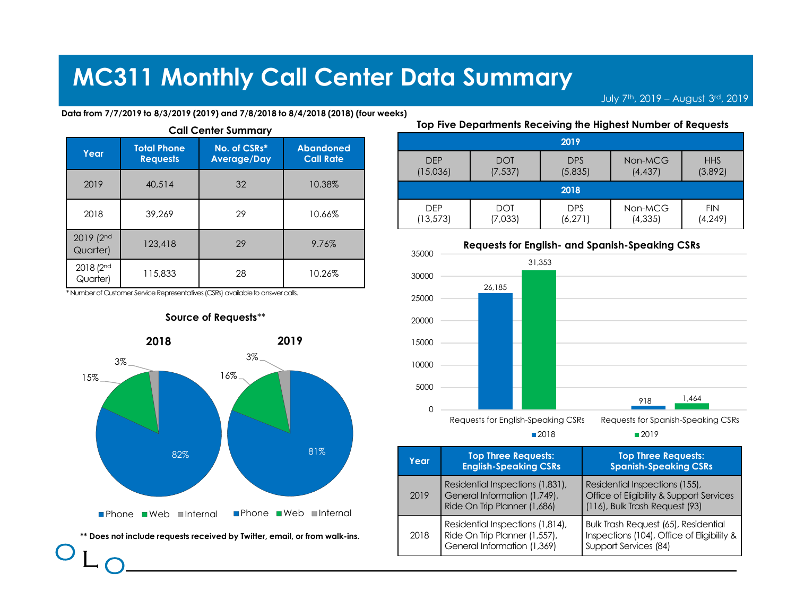|                       |                    |                                                                                | <b>MC311 Monthly Call Center Data Summary</b>                                      |                         |                                               |                        | July 7th,  |
|-----------------------|--------------------|--------------------------------------------------------------------------------|------------------------------------------------------------------------------------|-------------------------|-----------------------------------------------|------------------------|------------|
|                       |                    |                                                                                | Data from 7/7/2019 to 8/3/2019 (2019) and 7/8/2018 to 8/4/2018 (2018) (four weeks) |                         |                                               |                        |            |
|                       |                    |                                                                                |                                                                                    |                         | Top Five Departments Receiving the Highest No |                        |            |
| Year                  | <b>Total Phone</b> | <b>Call Center Summary</b><br>No. of CSRs*                                     | <b>Abandoned</b>                                                                   |                         |                                               | 2019                   |            |
|                       | <b>Requests</b>    | <b>Average/Day</b>                                                             | <b>Call Rate</b>                                                                   | <b>DEP</b><br>(15,036)  | <b>DOT</b><br>(7, 537)                        | <b>DPS</b><br>(5,835)  | Nor<br>(4) |
| 2019                  | 40,514             | 32                                                                             | 10.38%                                                                             |                         |                                               | 2018                   |            |
| 2018                  | 39,269             | 29                                                                             | 10.66%                                                                             | <b>DEP</b><br>(13, 573) | <b>DOT</b><br>(7,033)                         | <b>DPS</b><br>(6, 271) | Nor<br>(4) |
| 2019 (2nd<br>Quarter) | 123,418            | 29                                                                             | 9.76%                                                                              | 35000                   | <b>Requests for English- and Spanish-Sp</b>   |                        |            |
| 2018 (2 <sup>nd</sup> | 115,833            | 28                                                                             | 10.26%                                                                             | 30000                   |                                               | 31,353                 |            |
| Quarter)              |                    | * Number of Customer Service Representatives (CSRs) available to answer calls. |                                                                                    | 25000                   | 26,185                                        |                        |            |





### Top Five Departments Receiving the Highest Number of Requests

|          | <b>Center Data Summary</b> |                        |                        |                                                               |                        |
|----------|----------------------------|------------------------|------------------------|---------------------------------------------------------------|------------------------|
|          |                            |                        |                        | July 7th, 2019 - August 3rd, 2019                             |                        |
|          | 2018 (2018) (four weeks)   |                        |                        | Top Five Departments Receiving the Highest Number of Requests |                        |
|          |                            |                        | 2019                   |                                                               |                        |
|          |                            |                        |                        |                                                               |                        |
|          | <b>DEP</b><br>(15,036)     | <b>DOT</b><br>(7, 537) | <b>DPS</b><br>(5,835)  | Non-MCG<br>(4, 437)                                           | <b>HHS</b><br>(3,892)  |
|          |                            |                        | 2018                   |                                                               |                        |
|          | <b>DEP</b><br>(13, 573)    | <b>DOT</b><br>(7,033)  | <b>DPS</b><br>(6, 271) | Non-MCG<br>(4, 335)                                           | <b>FIN</b><br>(4, 249) |
|          |                            |                        |                        | <b>Requests for English- and Spanish-Speaking CSRs</b>        |                        |
|          | 35000                      |                        | 31,353                 |                                                               |                        |
| bandoned | 30000                      | 26,185                 |                        |                                                               |                        |



| 81%                     | Year | <b>Top Three Requests:</b><br><b>English-Speaking CSRs</b>                                       | <b>Top Three Requests:</b><br><b>Spanish-Speaking CSRs</b>                                                   |
|-------------------------|------|--------------------------------------------------------------------------------------------------|--------------------------------------------------------------------------------------------------------------|
| $\blacksquare$ Internal | 2019 | Residential Inspections (1,831),<br>General Information (1,749),<br>Ride On Trip Planner (1,686) | Residential Inspections (155),<br>Office of Eligibility & Support Services<br>(116), Bulk Trash Request (93) |
| r <b>om walk-ins</b> .  | 2018 | Residential Inspections (1,814),<br>Ride On Trip Planner (1,557),<br>General Information (1,369) | Bulk Trash Request (65), Residential<br>Inspections (104), Office of Eligibility &<br>Support Services (84)  |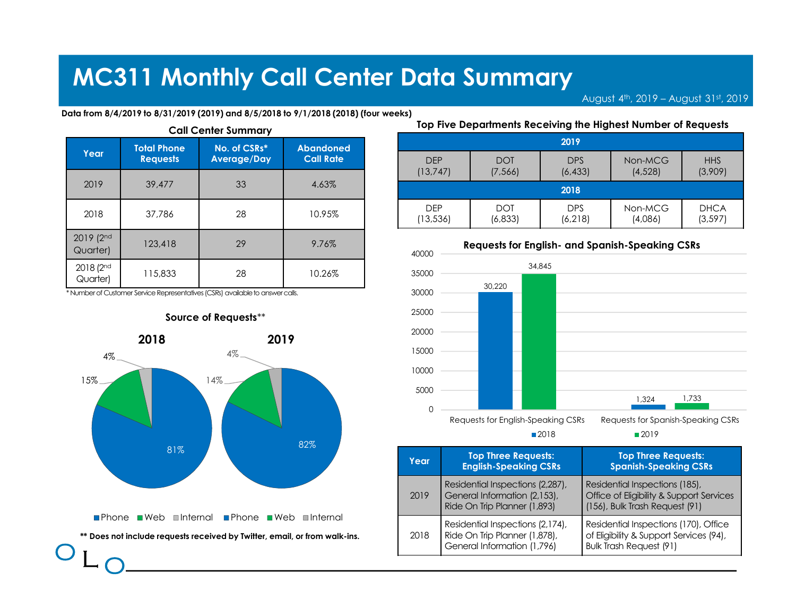|                       |                                       |                                                                                | <b>MC311 Monthly Call Center Data Summary</b>                                       |                |                                               |                    |               |
|-----------------------|---------------------------------------|--------------------------------------------------------------------------------|-------------------------------------------------------------------------------------|----------------|-----------------------------------------------|--------------------|---------------|
|                       |                                       |                                                                                |                                                                                     |                |                                               |                    | August 4th, 2 |
|                       |                                       | <b>Call Center Summary</b>                                                     | Data from 8/4/2019 to 8/31/2019 (2019) and 8/5/2018 to 9/1/2018 (2018) (four weeks) |                | Top Five Departments Receiving the Highest No |                    |               |
| Year                  | <b>Total Phone</b><br><b>Requests</b> | No. of CSRs*<br><b>Average/Day</b>                                             | <b>Abandoned</b><br><b>Call Rate</b>                                                | <b>DEP</b>     | <b>DOT</b>                                    | 2019<br><b>DPS</b> | Nor           |
| 2019                  | 39,477                                | 33                                                                             | 4.63%                                                                               | (13, 747)      | (7, 566)                                      | (6, 433)<br>2018   | (4)           |
|                       |                                       |                                                                                |                                                                                     | <b>DEP</b>     | <b>DOT</b>                                    | <b>DPS</b>         |               |
| 2018                  | 37,786                                | 28                                                                             | 10.95%                                                                              | (13, 536)      | (6, 833)                                      | (6, 218)           | Nor<br>(4)    |
| 2019 (2nd<br>Quarter) | 123,418                               | 29                                                                             | 9.76%                                                                               |                | <b>Requests for English- and Spanish-Sp</b>   |                    |               |
| 2018 (2 <sup>nd</sup> | 115,833                               | 28                                                                             | 10.26%                                                                              | 40000<br>35000 |                                               | 34,845             |               |
| Quarter)              |                                       | * Number of Customer Service Representatives (CSRs) available to answer calls. |                                                                                     | 30000          | 30,220                                        |                    |               |
|                       |                                       | Source of Requests**                                                           |                                                                                     | 25000          |                                               |                    |               |



|                                                                    | <b>Center Data Summary</b> |                       |                        |                                                               |                  |
|--------------------------------------------------------------------|----------------------------|-----------------------|------------------------|---------------------------------------------------------------|------------------|
|                                                                    |                            |                       |                        | August 4th, 2019 - August 31st, 2019                          |                  |
|                                                                    | 1/2018 (2018) (four weeks) |                       |                        | Top Five Departments Receiving the Highest Number of Requests |                  |
|                                                                    |                            |                       | 2019                   |                                                               |                  |
|                                                                    |                            |                       |                        | Non-MCG                                                       | <b>HHS</b>       |
|                                                                    | <b>DEP</b>                 | <b>DOT</b>            | <b>DPS</b>             |                                                               |                  |
|                                                                    | (13, 747)                  | (7, 566)              | (6, 433)               | (4,528)                                                       | (3,909)          |
|                                                                    |                            |                       | 2018                   |                                                               |                  |
|                                                                    | <b>DEP</b><br>(13, 536)    | <b>DOT</b><br>(6,833) | <b>DPS</b><br>(6, 218) | Non-MCG<br>(4,086)                                            | DHCA<br>(3, 597) |
|                                                                    |                            |                       |                        | <b>Requests for English- and Spanish-Speaking CSRs</b>        |                  |
|                                                                    | 40000                      |                       | 34,845                 |                                                               |                  |
| bandoned<br><b>Call Rate</b><br>4.63%<br>10.95%<br>9.76%<br>10.26% | 35000<br>30000             | 30,220                |                        |                                                               |                  |



| Year | <b>Top Three Requests:</b><br><b>English-Speaking CSRs</b>                                       | <b>Top Three Requests:</b><br><b>Spanish-Speaking CSRs</b>                                                         |
|------|--------------------------------------------------------------------------------------------------|--------------------------------------------------------------------------------------------------------------------|
| 2019 | Residential Inspections (2,287),<br>General Information (2,153),<br>Ride On Trip Planner (1,893) | Residential Inspections (185),<br>Office of Eligibility & Support Services<br>(156), Bulk Trash Request (91)       |
| 2018 | Residential Inspections (2,174),<br>Ride On Trip Planner (1,878),<br>General Information (1,796) | Residential Inspections (170), Office<br>of Eligibility & Support Services (94),<br><b>Bulk Trash Request (91)</b> |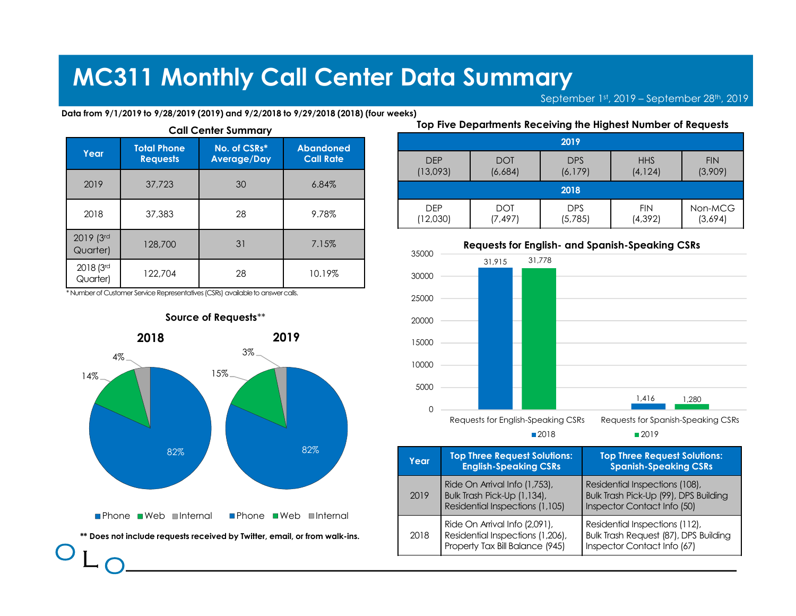|                       |                                       |                                                                                | <b>MC311 Monthly Call Center Data Summary</b>                                        |                        |                                               |                                |     |
|-----------------------|---------------------------------------|--------------------------------------------------------------------------------|--------------------------------------------------------------------------------------|------------------------|-----------------------------------------------|--------------------------------|-----|
|                       |                                       |                                                                                | Data from 9/1/2019 to 9/28/2019 (2019) and 9/2/2018 to 9/29/2018 (2018) (four weeks) |                        |                                               | September 1st, 2019 -          |     |
|                       |                                       | <b>Call Center Summary</b>                                                     |                                                                                      |                        | Top Five Departments Receiving the Highest No |                                |     |
| Year                  | <b>Total Phone</b><br><b>Requests</b> | No. of CSRs*<br><b>Average/Day</b>                                             | <b>Abandoned</b><br><b>Call Rate</b>                                                 | <b>DFP</b><br>(13,093) | <b>DOT</b><br>(6,684)                         | 2019<br><b>DPS</b><br>(6, 179) | (4) |
| 2019                  | 37,723                                | 30                                                                             | 6.84%                                                                                |                        |                                               | 2018                           |     |
|                       | 37,383                                | 28                                                                             | 9.78%                                                                                | <b>DEP</b><br>(12,030) | <b>DOT</b><br>(7, 497)                        | <b>DPS</b><br>(5,785)          | (4) |
| 2018                  |                                       |                                                                                |                                                                                      |                        |                                               |                                |     |
| 2019 (3rd<br>Quarter) | 128,700                               | 31                                                                             | 7.15%                                                                                | 35000                  | <b>Requests for English- and Spanish-Sp</b>   |                                |     |
| 2018 (3rd<br>Quarter) | 122,704                               | 28                                                                             | 10.19%                                                                               | 30000                  | 31.915                                        | 31,778                         |     |
|                       |                                       | * Number of Customer Service Representatives (CSRs) available to answer calls. |                                                                                      | 25000                  |                                               |                                |     |
|                       |                                       | Source of Requests**                                                           |                                                                                      | 20000                  |                                               |                                |     |



|                                                                                                  | <b>Center Data Summary</b> |                        |                                                               |                                            |                       |
|--------------------------------------------------------------------------------------------------|----------------------------|------------------------|---------------------------------------------------------------|--------------------------------------------|-----------------------|
|                                                                                                  |                            |                        |                                                               |                                            |                       |
|                                                                                                  |                            |                        |                                                               |                                            |                       |
|                                                                                                  |                            |                        |                                                               | September 1st, 2019 - September 28th, 2019 |                       |
|                                                                                                  |                            |                        | Top Five Departments Receiving the Highest Number of Requests |                                            |                       |
|                                                                                                  |                            |                        | 2019                                                          |                                            |                       |
|                                                                                                  | <b>DEP</b><br>(13,093)     | <b>DOT</b><br>(6,684)  | <b>DPS</b><br>(6, 179)                                        | <b>HHS</b><br>(4, 124)                     | <b>FIN</b><br>(3,909) |
|                                                                                                  |                            |                        | 2018                                                          |                                            |                       |
|                                                                                                  | <b>DEP</b><br>(12,030)     | <b>DOT</b><br>(7, 497) | <b>DPS</b><br>(5,785)                                         | <b>FIN</b><br>(4, 392)                     | Non-MCG<br>(3,694)    |
|                                                                                                  |                            |                        | <b>Requests for English- and Spanish-Speaking CSRs</b>        |                                            |                       |
|                                                                                                  | 35000                      | 31,915                 | 31,778                                                        |                                            |                       |
| 29/2018 (2018) (four weeks)<br>bandoned<br><b>Call Rate</b><br>6.84%<br>9.78%<br>7.15%<br>10.19% | 30000                      |                        |                                                               |                                            |                       |



| 82%                     | Year | <b>Top Three Request Solutions:</b><br><b>English-Speaking CSRs</b>                                  | <b>Top Three Request Solutions:</b><br><b>Spanish-Speaking CSRs</b>                                    |
|-------------------------|------|------------------------------------------------------------------------------------------------------|--------------------------------------------------------------------------------------------------------|
| $\blacksquare$ Internal | 2019 | Ride On Arrival Info (1,753),<br>Bulk Trash Pick-Up (1,134),<br>Residential Inspections (1,105)      | Residential Inspections (108),<br>Bulk Trash Pick-Up (99), DPS Building<br>Inspector Contact Info (50) |
| r from walk-ins.        | 2018 | Ride On Arrival Info (2,091),<br>Residential Inspections (1,206),<br>Property Tax Bill Balance (945) | Residential Inspections (112),<br>Bulk Trash Request (87), DPS Building<br>Inspector Contact Info (67) |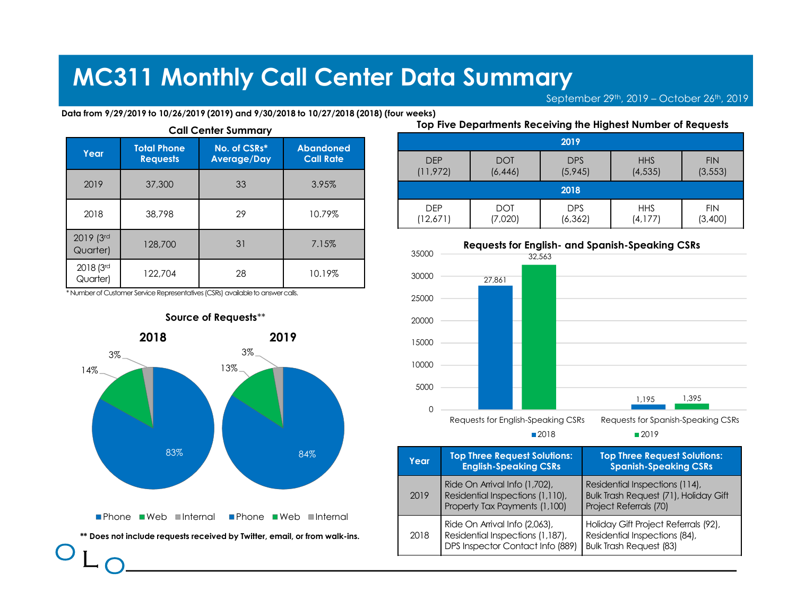|                       |                                       | <b>MC311 Monthly Call Center Data Summary</b>                                                                          |                                      |                        |                       | September 29th, 201                                   |     |
|-----------------------|---------------------------------------|------------------------------------------------------------------------------------------------------------------------|--------------------------------------|------------------------|-----------------------|-------------------------------------------------------|-----|
|                       |                                       | Data from 9/29/2019 to 10/26/2019 (2019) and 9/30/2018 to 10/27/2018 (2018) (four weeks)<br><b>Call Center Summary</b> |                                      |                        |                       | Top Five Departments Receiving the Highest No         |     |
| Year                  | <b>Total Phone</b><br><b>Requests</b> | No. of CSRs*<br><b>Average/Day</b>                                                                                     | <b>Abandoned</b><br><b>Call Rate</b> | <b>DEP</b>             | <b>DOT</b>            | 2019<br><b>DPS</b>                                    |     |
| 2019                  | 37,300                                | 33                                                                                                                     | 3.95%                                | (11, 972)              | (6, 446)              | (5,945)                                               | (4) |
| 2018                  | 38,798                                | 29                                                                                                                     | 10.79%                               | <b>DEP</b><br>(12,671) | <b>DOT</b><br>(7,020) | 2018<br><b>DPS</b><br>(6, 362)                        | (4) |
| 2019 (3rd<br>Quarter) | 128,700                               | 31                                                                                                                     | 7.15%                                | 35000                  |                       | <b>Requests for English- and Spanish-Sp</b><br>32.563 |     |
| 2018 (3rd             | 122,704                               | 28                                                                                                                     | 10.19%                               | 30000                  | 27,861                |                                                       |     |
| Quarter)              |                                       |                                                                                                                        |                                      |                        |                       |                                                       |     |
|                       |                                       | * Number of Customer Service Representatives (CSRs) available to answer calls.                                         |                                      | 25000                  |                       |                                                       |     |



|                                                                    | <b>Center Data Summary</b>     |                                                               |                        | September 29th, 2019 - October 26th, 2019 |                        |
|--------------------------------------------------------------------|--------------------------------|---------------------------------------------------------------|------------------------|-------------------------------------------|------------------------|
|                                                                    | 10/27/2018 (2018) (four weeks) | Top Five Departments Receiving the Highest Number of Requests |                        |                                           |                        |
|                                                                    |                                |                                                               | 2019                   |                                           |                        |
|                                                                    | <b>DEP</b><br>(11, 972)        | <b>DOT</b><br>(6, 446)                                        | <b>DPS</b><br>(5,945)  | <b>HHS</b><br>(4, 535)                    | <b>FIN</b><br>(3, 553) |
|                                                                    |                                |                                                               | 2018                   |                                           |                        |
|                                                                    | <b>DEP</b><br>(12,671)         | <b>DOT</b><br>(7,020)                                         | <b>DPS</b><br>(6, 362) | <b>HHS</b><br>(4, 177)                    | <b>FIN</b><br>(3,400)  |
|                                                                    | 35000                          | <b>Requests for English- and Spanish-Speaking CSRs</b>        | 32,563                 |                                           |                        |
| bandoned<br><b>Call Rate</b><br>3.95%<br>10.79%<br>7.15%<br>10.19% | 30000                          | 27,861                                                        |                        |                                           |                        |



| $84\%$                                | Year | <b>Top Three Request Solutions:</b><br><b>English-Speaking CSRs</b>                                   | <b>Top Three Request Solutions:</b><br><b>Spanish-Speaking CSRs</b>                                     |
|---------------------------------------|------|-------------------------------------------------------------------------------------------------------|---------------------------------------------------------------------------------------------------------|
|                                       | 2019 | Ride On Arrival Info (1,702),<br>Residential Inspections (1,110),<br>Property Tax Payments (1,100)    | Residential Inspections (114),<br>Bulk Trash Request (71), Holiday Gift<br>Project Referrals (70)       |
| <b>■Internal</b><br>or from walk-ins. | 2018 | Ride On Arrival Info (2,063),<br>Residential Inspections (1,187),<br>DPS Inspector Contact Info (889) | Holiday Gift Project Referrals (92),<br>Residential Inspections (84),<br><b>Bulk Trash Request (83)</b> |